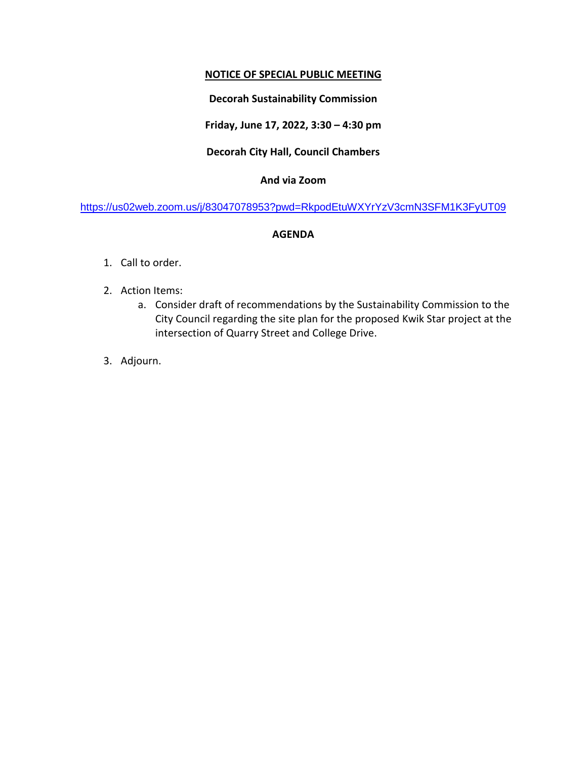# **NOTICE OF SPECIAL PUBLIC MEETING**

# **Decorah Sustainability Commission**

**Friday, June 17, 2022, 3:30 – 4:30 pm**

## **Decorah City Hall, Council Chambers**

## **And via Zoom**

<https://us02web.zoom.us/j/83047078953?pwd=RkpodEtuWXYrYzV3cmN3SFM1K3FyUT09>

### **AGENDA**

- 1. Call to order.
- 2. Action Items:
	- a. Consider draft of recommendations by the Sustainability Commission to the City Council regarding the site plan for the proposed Kwik Star project at the intersection of Quarry Street and College Drive.
- 3. Adjourn.